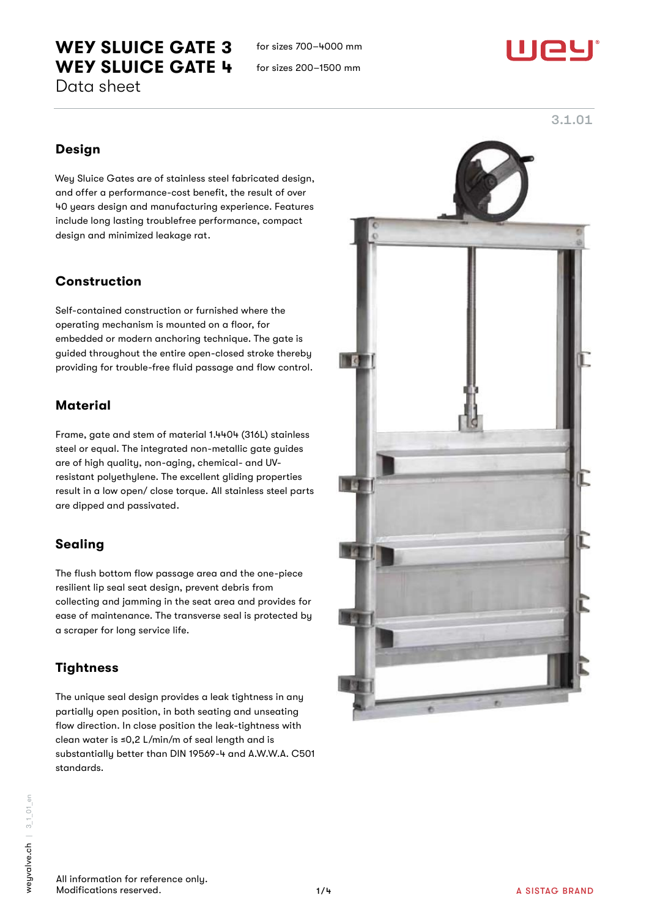# WEY SLUICE GATE 3 WEY SLUICE GATE 4

Data sheet

for sizes 700–4000 mm for sizes 200–1500 mm

1184

3.1.01

# **Design**

Wey Sluice Gates are of stainless steel fabricated design, and offer a performance-cost benefit, the result of over 40 years design and manufacturing experience. Features include long lasting troublefree performance, compact design and minimized leakage rat.

# Construction

Self-contained construction or furnished where the operating mechanism is mounted on a floor, for embedded or modern anchoring technique. The gate is guided throughout the entire open-closed stroke thereby providing for trouble-free fluid passage and flow control.

#### **Material**

Frame, gate and stem of material 1.4404 (316L) stainless steel or equal. The integrated non-metallic gate guides are of high quality, non-aging, chemical- and UVresistant polyethylene. The excellent gliding properties result in a low open/ close torque. All stainless steel parts are dipped and passivated.

#### Sealing

The flush bottom flow passage area and the one-piece resilient lip seal seat design, prevent debris from collecting and jamming in the seat area and provides for ease of maintenance. The transverse seal is protected by a scraper for long service life.

# **Tightness**

The unique seal design provides a leak tightness in any partially open position, in both seating and unseating flow direction. In close position the leak-tightness with clean water is ≤0,2 L/min/m of seal length and is substantially better than DIN 19569-4 and A.W.W.A. C501 standards.

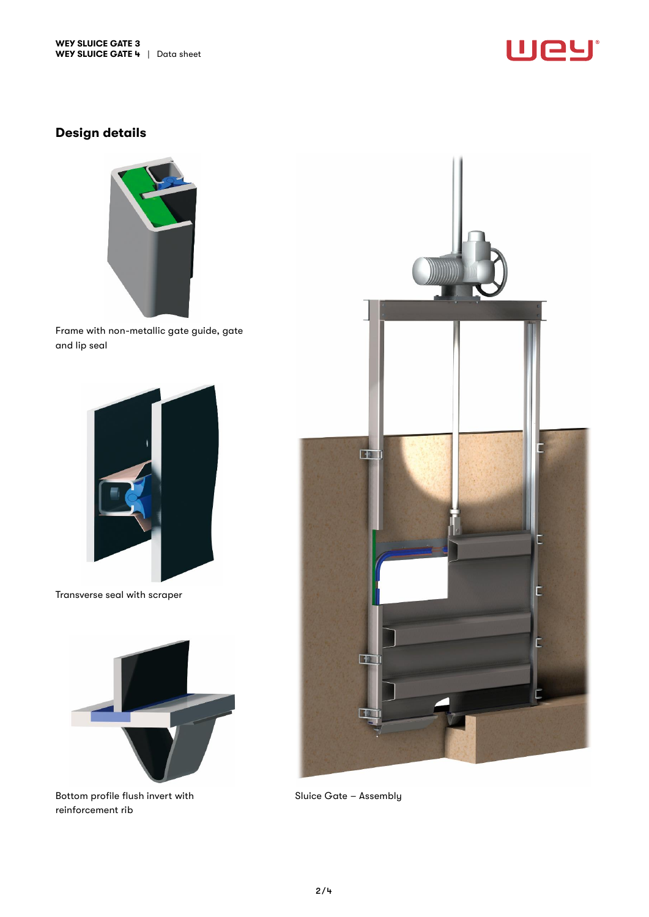

## Design details



Frame with non-metallic gate guide, gate and lip seal



Transverse seal with scraper



Bottom profile flush invert with reinforcement rib



Sluice Gate – Assembly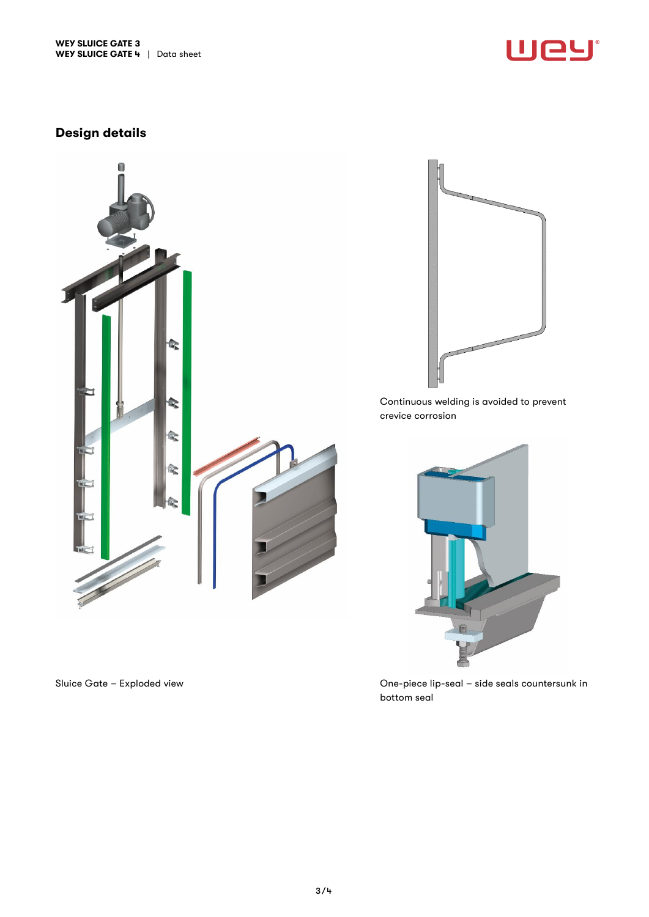

# Design details





Continuous welding is avoided to prevent crevice corrosion



Sluice Gate – Exploded view One-piece lip-seal – side seals countersunk in bottom seal